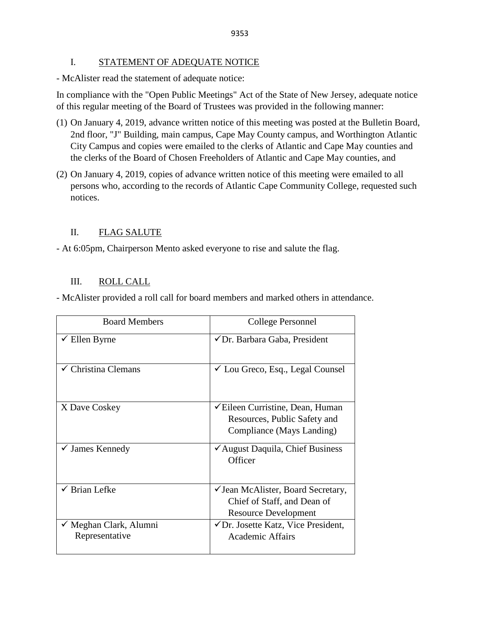#### I. STATEMENT OF ADEQUATE NOTICE

- McAlister read the statement of adequate notice:

In compliance with the "Open Public Meetings" Act of the State of New Jersey, adequate notice of this regular meeting of the Board of Trustees was provided in the following manner:

- (1) On January 4, 2019, advance written notice of this meeting was posted at the Bulletin Board, 2nd floor, "J" Building, main campus, Cape May County campus, and Worthington Atlantic City Campus and copies were emailed to the clerks of Atlantic and Cape May counties and the clerks of the Board of Chosen Freeholders of Atlantic and Cape May counties, and
- (2) On January 4, 2019, copies of advance written notice of this meeting were emailed to all persons who, according to the records of Atlantic Cape Community College, requested such notices.

## II. FLAG SALUTE

- At 6:05pm, Chairperson Mento asked everyone to rise and salute the flag.

### III. ROLL CALL

- McAlister provided a roll call for board members and marked others in attendance.

| <b>Board Members</b>                     | College Personnel                                                                                                   |
|------------------------------------------|---------------------------------------------------------------------------------------------------------------------|
| $\checkmark$ Ellen Byrne                 | ✔ Dr. Barbara Gaba, President                                                                                       |
| $\checkmark$ Christina Clemans           | $\checkmark$ Lou Greco, Esq., Legal Counsel                                                                         |
| X Dave Coskey                            | <del></del> <del></del> Eileen Curristine, Dean, Human<br>Resources, Public Safety and<br>Compliance (Mays Landing) |
| $\checkmark$ James Kennedy               | <del></del> ∕ August Daquila, Chief Business<br>Officer                                                             |
| <b>Brian Lefke</b>                       | ✓ Jean McAlister, Board Secretary,<br>Chief of Staff, and Dean of<br><b>Resource Development</b>                    |
| ✓ Meghan Clark, Alumni<br>Representative | $\sqrt{D}$ r. Josette Katz, Vice President,<br><b>Academic Affairs</b>                                              |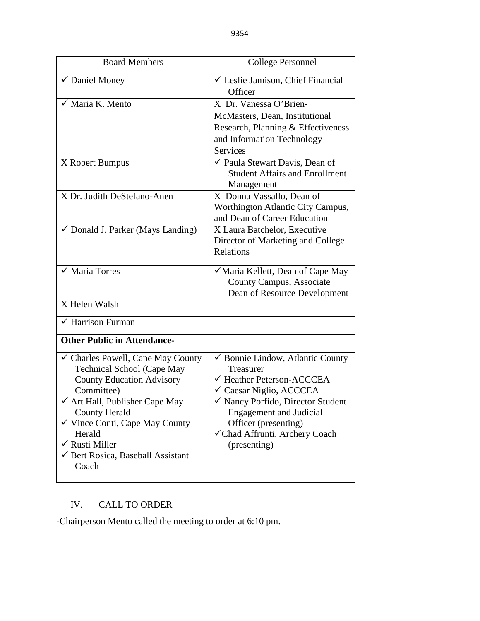| <b>Board Members</b>                                                                                                                                                                                                                                                                                                                                  | <b>College Personnel</b>                                                                                                                                                                                                                                          |
|-------------------------------------------------------------------------------------------------------------------------------------------------------------------------------------------------------------------------------------------------------------------------------------------------------------------------------------------------------|-------------------------------------------------------------------------------------------------------------------------------------------------------------------------------------------------------------------------------------------------------------------|
| ✔ Daniel Money                                                                                                                                                                                                                                                                                                                                        | $\checkmark$ Leslie Jamison, Chief Financial<br>Officer                                                                                                                                                                                                           |
| $\overline{\checkmark}$ Maria K. Mento                                                                                                                                                                                                                                                                                                                | X Dr. Vanessa O'Brien-<br>McMasters, Dean, Institutional<br>Research, Planning & Effectiveness<br>and Information Technology<br><b>Services</b>                                                                                                                   |
| X Robert Bumpus                                                                                                                                                                                                                                                                                                                                       | ✓ Paula Stewart Davis, Dean of<br><b>Student Affairs and Enrollment</b><br>Management                                                                                                                                                                             |
| X Dr. Judith DeStefano-Anen                                                                                                                                                                                                                                                                                                                           | X Donna Vassallo, Dean of<br>Worthington Atlantic City Campus,<br>and Dean of Career Education                                                                                                                                                                    |
| $\checkmark$ Donald J. Parker (Mays Landing)                                                                                                                                                                                                                                                                                                          | X Laura Batchelor, Executive<br>Director of Marketing and College<br>Relations                                                                                                                                                                                    |
| $\checkmark$ Maria Torres<br>X Helen Walsh                                                                                                                                                                                                                                                                                                            | √Maria Kellett, Dean of Cape May<br>County Campus, Associate<br>Dean of Resource Development                                                                                                                                                                      |
| $\checkmark$ Harrison Furman                                                                                                                                                                                                                                                                                                                          |                                                                                                                                                                                                                                                                   |
| <b>Other Public in Attendance-</b>                                                                                                                                                                                                                                                                                                                    |                                                                                                                                                                                                                                                                   |
| $\checkmark$ Charles Powell, Cape May County<br><b>Technical School (Cape May</b><br><b>County Education Advisory</b><br>Committee)<br>$\checkmark$ Art Hall, Publisher Cape May<br><b>County Herald</b><br>$\checkmark$ Vince Conti, Cape May County<br>Herald<br>$\checkmark$ Rusti Miller<br>$\checkmark$ Bert Rosica, Baseball Assistant<br>Coach | $\checkmark$ Bonnie Lindow, Atlantic County<br>Treasurer<br>← Heather Peterson-ACCCEA<br>✓ Caesar Niglio, ACCCEA<br>✔ Nancy Porfido, Director Student<br><b>Engagement and Judicial</b><br>Officer (presenting)<br>√ Chad Affrunti, Archery Coach<br>(presenting) |

# IV. CALL TO ORDER

-Chairperson Mento called the meeting to order at 6:10 pm.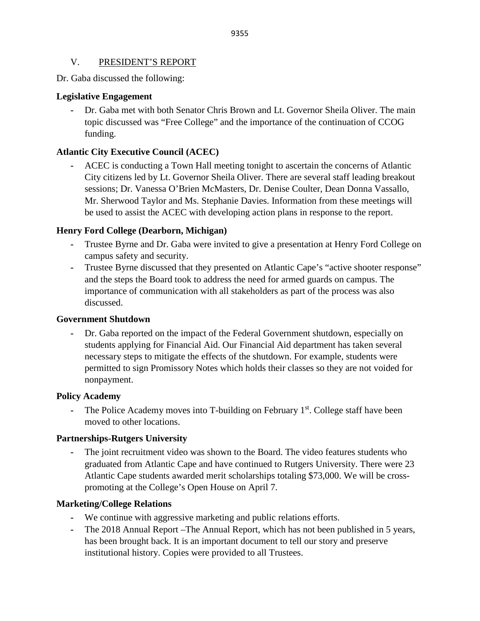#### V. PRESIDENT'S REPORT

Dr. Gaba discussed the following:

#### **Legislative Engagement**

**-** Dr. Gaba met with both Senator Chris Brown and Lt. Governor Sheila Oliver. The main topic discussed was "Free College" and the importance of the continuation of CCOG funding.

#### **Atlantic City Executive Council (ACEC)**

**-** ACEC is conducting a Town Hall meeting tonight to ascertain the concerns of Atlantic City citizens led by Lt. Governor Sheila Oliver. There are several staff leading breakout sessions; Dr. Vanessa O'Brien McMasters, Dr. Denise Coulter, Dean Donna Vassallo, Mr. Sherwood Taylor and Ms. Stephanie Davies. Information from these meetings will be used to assist the ACEC with developing action plans in response to the report.

#### **Henry Ford College (Dearborn, Michigan)**

- **-** Trustee Byrne and Dr. Gaba were invited to give a presentation at Henry Ford College on campus safety and security.
- **-** Trustee Byrne discussed that they presented on Atlantic Cape's "active shooter response" and the steps the Board took to address the need for armed guards on campus. The importance of communication with all stakeholders as part of the process was also discussed.

#### **Government Shutdown**

**-** Dr. Gaba reported on the impact of the Federal Government shutdown, especially on students applying for Financial Aid. Our Financial Aid department has taken several necessary steps to mitigate the effects of the shutdown. For example, students were permitted to sign Promissory Notes which holds their classes so they are not voided for nonpayment.

#### **Policy Academy**

**-** The Police Academy moves into T-building on February 1st. College staff have been moved to other locations.

#### **Partnerships-Rutgers University**

**-** The joint recruitment video was shown to the Board. The video features students who graduated from Atlantic Cape and have continued to Rutgers University. There were 23 Atlantic Cape students awarded merit scholarships totaling \$73,000. We will be crosspromoting at the College's Open House on April 7.

### **Marketing/College Relations**

- **-** We continue with aggressive marketing and public relations efforts.
- **-** The 2018 Annual Report –The Annual Report, which has not been published in 5 years, has been brought back. It is an important document to tell our story and preserve institutional history. Copies were provided to all Trustees.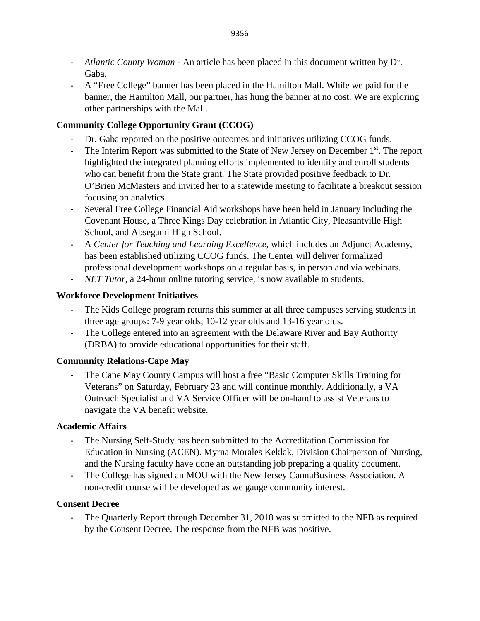- **-** *Atlantic County Woman* An article has been placed in this document written by Dr. Gaba.
- **-** A "Free College" banner has been placed in the Hamilton Mall. While we paid for the banner, the Hamilton Mall, our partner, has hung the banner at no cost. We are exploring other partnerships with the Mall.

# **Community College Opportunity Grant (CCOG)**

- **-** Dr. Gaba reported on the positive outcomes and initiatives utilizing CCOG funds.
- **-** The Interim Report was submitted to the State of New Jersey on December 1st. The report highlighted the integrated planning efforts implemented to identify and enroll students who can benefit from the State grant. The State provided positive feedback to Dr. O'Brien McMasters and invited her to a statewide meeting to facilitate a breakout session focusing on analytics.
- **-** Several Free College Financial Aid workshops have been held in January including the Covenant House, a Three Kings Day celebration in Atlantic City, Pleasantville High School, and Absegami High School.
- **-** A *Center for Teaching and Learning Excellence*, which includes an Adjunct Academy, has been established utilizing CCOG funds. The Center will deliver formalized professional development workshops on a regular basis, in person and via webinars.
- **-** *NET Tutor*, a 24-hour online tutoring service, is now available to students.

## **Workforce Development Initiatives**

- **-** The Kids College program returns this summer at all three campuses serving students in three age groups: 7-9 year olds, 10-12 year olds and 13-16 year olds.
- **-** The College entered into an agreement with the Delaware River and Bay Authority (DRBA) to provide educational opportunities for their staff.

## **Community Relations-Cape May**

**-** The Cape May County Campus will host a free "Basic Computer Skills Training for Veterans" on Saturday, February 23 and will continue monthly. Additionally, a VA Outreach Specialist and VA Service Officer will be on-hand to assist Veterans to navigate the VA benefit website.

## **Academic Affairs**

- **-** The Nursing Self-Study has been submitted to the Accreditation Commission for Education in Nursing (ACEN). Myrna Morales Keklak, Division Chairperson of Nursing, and the Nursing faculty have done an outstanding job preparing a quality document.
- **-** The College has signed an MOU with the New Jersey CannaBusiness Association. A non-credit course will be developed as we gauge community interest.

## **Consent Decree**

**-** The Quarterly Report through December 31, 2018 was submitted to the NFB as required by the Consent Decree. The response from the NFB was positive.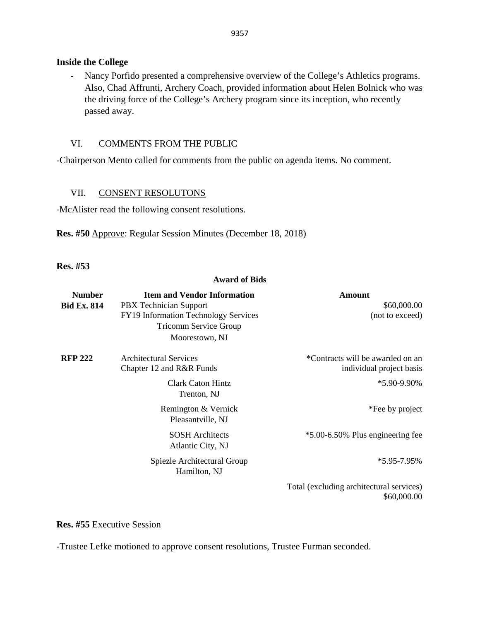#### **Inside the College**

**-** Nancy Porfido presented a comprehensive overview of the College's Athletics programs. Also, Chad Affrunti, Archery Coach, provided information about Helen Bolnick who was the driving force of the College's Archery program since its inception, who recently passed away.

### VI. COMMENTS FROM THE PUBLIC

-Chairperson Mento called for comments from the public on agenda items. No comment.

#### VII. CONSENT RESOLUTONS

-McAlister read the following consent resolutions.

**Res. #50** Approve: Regular Session Minutes (December 18, 2018)

**Res. #53**

## **Award of Bids**

| <b>Number</b>      | <b>Item and Vendor Information</b>                        | <b>Amount</b>                                                |
|--------------------|-----------------------------------------------------------|--------------------------------------------------------------|
| <b>Bid Ex. 814</b> | <b>PBX</b> Technician Support                             | \$60,000.00                                                  |
|                    | <b>FY19</b> Information Technology Services               | (not to exceed)                                              |
|                    | <b>Tricomm Service Group</b>                              |                                                              |
|                    | Moorestown, NJ                                            |                                                              |
| <b>RFP 222</b>     | <b>Architectural Services</b><br>Chapter 12 and R&R Funds | *Contracts will be awarded on an<br>individual project basis |
|                    |                                                           |                                                              |
|                    | <b>Clark Caton Hintz</b>                                  | *5.90-9.90%                                                  |
|                    | Trenton, NJ                                               |                                                              |
|                    | Remington & Vernick                                       | *Fee by project                                              |
|                    | Pleasantville, NJ                                         |                                                              |
|                    | <b>SOSH</b> Architects                                    | *5.00-6.50% Plus engineering fee                             |
|                    | Atlantic City, NJ                                         |                                                              |
|                    | Spiezle Architectural Group                               | $*5.95 - 7.95\%$                                             |
|                    | Hamilton, NJ                                              |                                                              |
|                    |                                                           | Total (excluding architectural services)                     |

\$60,000.00

**Res. #55** Executive Session

-Trustee Lefke motioned to approve consent resolutions, Trustee Furman seconded.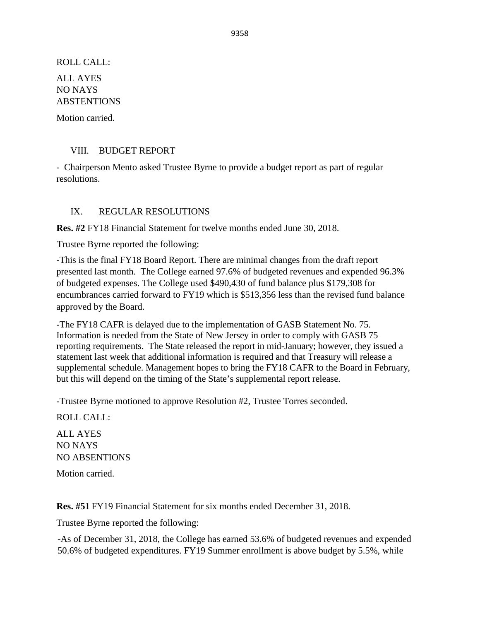ROLL CALL: ALL AYES NO NAYS ABSTENTIONS

Motion carried.

### VIII. BUDGET REPORT

- Chairperson Mento asked Trustee Byrne to provide a budget report as part of regular resolutions.

### IX. REGULAR RESOLUTIONS

**Res. #2** FY18 Financial Statement for twelve months ended June 30, 2018.

Trustee Byrne reported the following:

-This is the final FY18 Board Report. There are minimal changes from the draft report presented last month. The College earned 97.6% of budgeted revenues and expended 96.3% of budgeted expenses. The College used \$490,430 of fund balance plus \$179,308 for encumbrances carried forward to FY19 which is \$513,356 less than the revised fund balance approved by the Board.

-The FY18 CAFR is delayed due to the implementation of GASB Statement No. 75. Information is needed from the State of New Jersey in order to comply with GASB 75 reporting requirements. The State released the report in mid-January; however, they issued a statement last week that additional information is required and that Treasury will release a supplemental schedule. Management hopes to bring the FY18 CAFR to the Board in February, but this will depend on the timing of the State's supplemental report release.

-Trustee Byrne motioned to approve Resolution #2, Trustee Torres seconded.

ROLL CALL:

ALL AYES NO NAYS NO ABSENTIONS

Motion carried.

**Res. #51** FY19 Financial Statement for six months ended December 31, 2018.

Trustee Byrne reported the following:

-As of December 31, 2018, the College has earned 53.6% of budgeted revenues and expended 50.6% of budgeted expenditures. FY19 Summer enrollment is above budget by 5.5%, while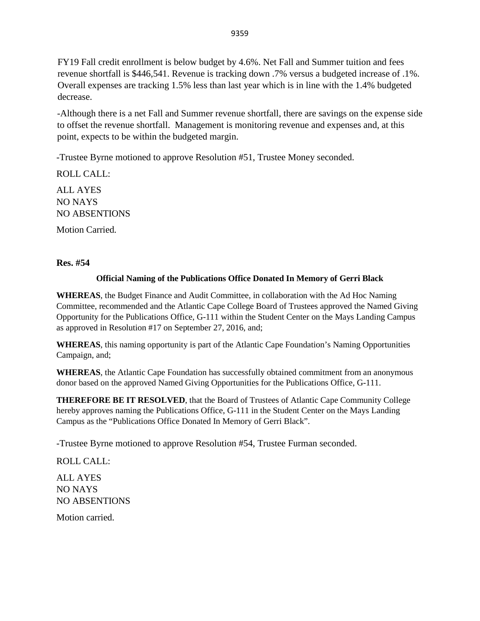FY19 Fall credit enrollment is below budget by 4.6%. Net Fall and Summer tuition and fees revenue shortfall is \$446,541. Revenue is tracking down .7% versus a budgeted increase of .1%. Overall expenses are tracking 1.5% less than last year which is in line with the 1.4% budgeted decrease.

-Although there is a net Fall and Summer revenue shortfall, there are savings on the expense side to offset the revenue shortfall. Management is monitoring revenue and expenses and, at this point, expects to be within the budgeted margin.

-Trustee Byrne motioned to approve Resolution #51, Trustee Money seconded.

ROLL CALL: ALL AYES NO NAYS NO ABSENTIONS

Motion Carried.

**Res. #54**

### **Official Naming of the Publications Office Donated In Memory of Gerri Black**

**WHEREAS**, the Budget Finance and Audit Committee, in collaboration with the Ad Hoc Naming Committee, recommended and the Atlantic Cape College Board of Trustees approved the Named Giving Opportunity for the Publications Office, G-111 within the Student Center on the Mays Landing Campus as approved in Resolution #17 on September 27, 2016, and;

**WHEREAS**, this naming opportunity is part of the Atlantic Cape Foundation's Naming Opportunities Campaign, and;

**WHEREAS**, the Atlantic Cape Foundation has successfully obtained commitment from an anonymous donor based on the approved Named Giving Opportunities for the Publications Office, G-111.

**THEREFORE BE IT RESOLVED**, that the Board of Trustees of Atlantic Cape Community College hereby approves naming the Publications Office, G-111 in the Student Center on the Mays Landing Campus as the "Publications Office Donated In Memory of Gerri Black".

-Trustee Byrne motioned to approve Resolution #54, Trustee Furman seconded.

ROLL CALL:

ALL AYES NO NAYS NO ABSENTIONS

Motion carried.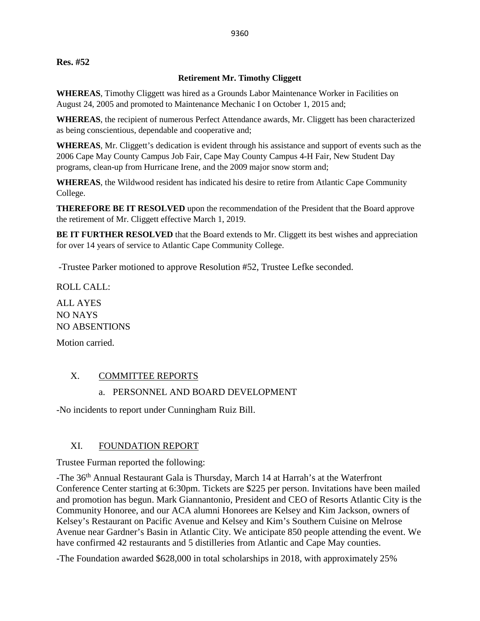**Res. #52**

#### **Retirement Mr. Timothy Cliggett**

**WHEREAS**, Timothy Cliggett was hired as a Grounds Labor Maintenance Worker in Facilities on August 24, 2005 and promoted to Maintenance Mechanic I on October 1, 2015 and;

**WHEREAS**, the recipient of numerous Perfect Attendance awards, Mr. Cliggett has been characterized as being conscientious, dependable and cooperative and;

**WHEREAS**, Mr. Cliggett's dedication is evident through his assistance and support of events such as the 2006 Cape May County Campus Job Fair, Cape May County Campus 4-H Fair, New Student Day programs, clean-up from Hurricane Irene, and the 2009 major snow storm and;

**WHEREAS**, the Wildwood resident has indicated his desire to retire from Atlantic Cape Community College.

**THEREFORE BE IT RESOLVED** upon the recommendation of the President that the Board approve the retirement of Mr. Cliggett effective March 1, 2019.

**BE IT FURTHER RESOLVED** that the Board extends to Mr. Cliggett its best wishes and appreciation for over 14 years of service to Atlantic Cape Community College.

-Trustee Parker motioned to approve Resolution #52, Trustee Lefke seconded.

ROLL CALL: ALL AYES

NO NAYS NO ABSENTIONS

Motion carried.

### X. COMMITTEE REPORTS

a. PERSONNEL AND BOARD DEVELOPMENT

-No incidents to report under Cunningham Ruiz Bill.

### XI. FOUNDATION REPORT

Trustee Furman reported the following:

-The 36<sup>th</sup> Annual Restaurant Gala is Thursday, March 14 at Harrah's at the Waterfront Conference Center starting at 6:30pm. Tickets are \$225 per person. Invitations have been mailed and promotion has begun. Mark Giannantonio, President and CEO of Resorts Atlantic City is the Community Honoree, and our ACA alumni Honorees are Kelsey and Kim Jackson, owners of Kelsey's Restaurant on Pacific Avenue and Kelsey and Kim's Southern Cuisine on Melrose Avenue near Gardner's Basin in Atlantic City. We anticipate 850 people attending the event. We have confirmed 42 restaurants and 5 distilleries from Atlantic and Cape May counties.

-The Foundation awarded \$628,000 in total scholarships in 2018, with approximately 25%